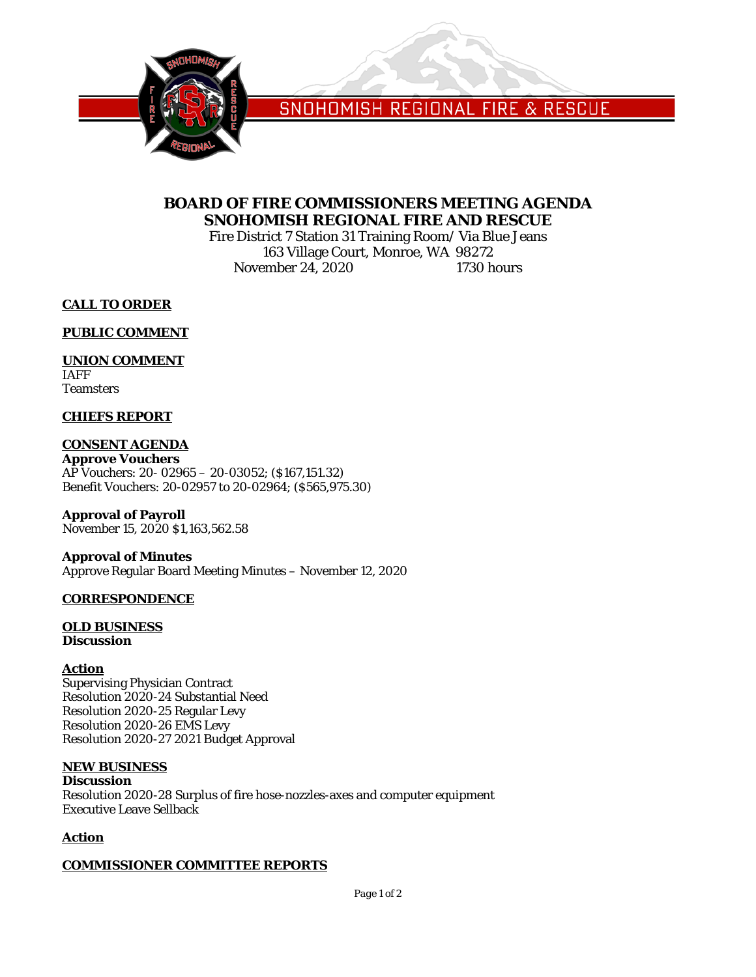

SNOHOMISH REGIONAL FIRE & RESCUE

# **BOARD OF FIRE COMMISSIONERS MEETING AGENDA SNOHOMISH REGIONAL FIRE AND RESCUE**

Fire District 7 Station 31 Training Room/ Via Blue Jeans 163 Village Court, Monroe, WA 98272<br>
Proper 24, 2020 1730 hours November  $24, 2020$ 

**CALL TO ORDER**

**PUBLIC COMMENT**

# **UNION COMMENT**

IAFF **Teamsters** 

# **CHIEFS REPORT**

# **CONSENT AGENDA**

**Approve Vouchers** AP Vouchers: 20- 02965 – 20-03052; (\$167,151.32) Benefit Vouchers: 20-02957 to 20-02964; (\$565,975.30)

**Approval of Payroll** November 15, 2020 \$1,163,562.58

### **Approval of Minutes** Approve Regular Board Meeting Minutes – November 12, 2020

# **CORRESPONDENCE**

### **OLD BUSINESS Discussion**

# **Action**

Supervising Physician Contract Resolution 2020-24 Substantial Need Resolution 2020-25 Regular Levy Resolution 2020-26 EMS Levy Resolution 2020-27 2021 Budget Approval

# **NEW BUSINESS**

**Discussion** Resolution 2020-28 Surplus of fire hose-nozzles-axes and computer equipment Executive Leave Sellback

# **Action**

# **COMMISSIONER COMMITTEE REPORTS**